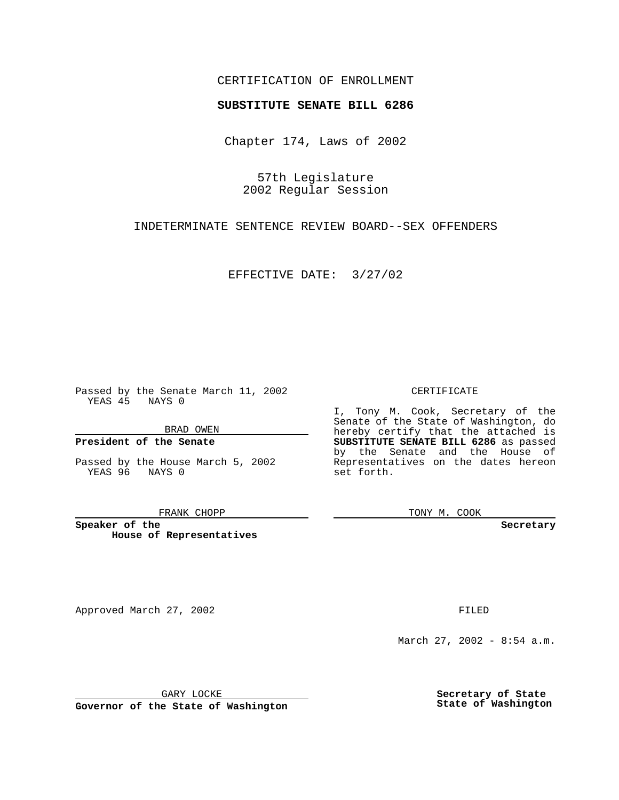## CERTIFICATION OF ENROLLMENT

# **SUBSTITUTE SENATE BILL 6286**

Chapter 174, Laws of 2002

57th Legislature 2002 Regular Session

INDETERMINATE SENTENCE REVIEW BOARD--SEX OFFENDERS

EFFECTIVE DATE: 3/27/02

Passed by the Senate March 11, 2002 YEAS 45 NAYS 0

BRAD OWEN

### **President of the Senate**

Passed by the House March 5, 2002 YEAS 96 NAYS 0

#### FRANK CHOPP

**Speaker of the House of Representatives**

Approved March 27, 2002 **FILED** 

#### CERTIFICATE

I, Tony M. Cook, Secretary of the Senate of the State of Washington, do hereby certify that the attached is **SUBSTITUTE SENATE BILL 6286** as passed by the Senate and the House of Representatives on the dates hereon set forth.

TONY M. COOK

**Secretary**

March 27, 2002 - 8:54 a.m.

GARY LOCKE

**Governor of the State of Washington**

**Secretary of State State of Washington**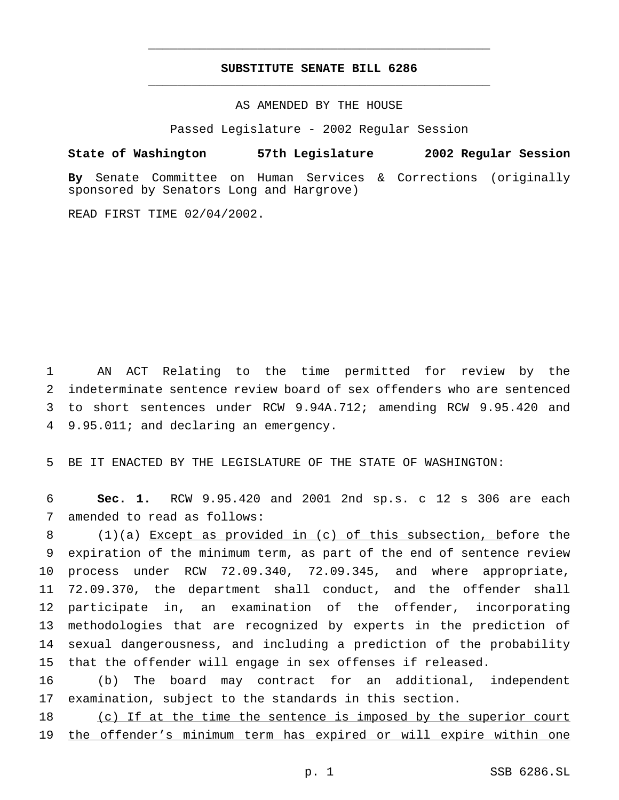# **SUBSTITUTE SENATE BILL 6286** \_\_\_\_\_\_\_\_\_\_\_\_\_\_\_\_\_\_\_\_\_\_\_\_\_\_\_\_\_\_\_\_\_\_\_\_\_\_\_\_\_\_\_\_\_\_\_

\_\_\_\_\_\_\_\_\_\_\_\_\_\_\_\_\_\_\_\_\_\_\_\_\_\_\_\_\_\_\_\_\_\_\_\_\_\_\_\_\_\_\_\_\_\_\_

AS AMENDED BY THE HOUSE

Passed Legislature - 2002 Regular Session

**State of Washington 57th Legislature 2002 Regular Session**

**By** Senate Committee on Human Services & Corrections (originally sponsored by Senators Long and Hargrove)

READ FIRST TIME 02/04/2002.

 AN ACT Relating to the time permitted for review by the indeterminate sentence review board of sex offenders who are sentenced to short sentences under RCW 9.94A.712; amending RCW 9.95.420 and 9.95.011; and declaring an emergency.

BE IT ENACTED BY THE LEGISLATURE OF THE STATE OF WASHINGTON:

 **Sec. 1.** RCW 9.95.420 and 2001 2nd sp.s. c 12 s 306 are each amended to read as follows:

 (1)(a) Except as provided in (c) of this subsection, before the expiration of the minimum term, as part of the end of sentence review process under RCW 72.09.340, 72.09.345, and where appropriate, 72.09.370, the department shall conduct, and the offender shall participate in, an examination of the offender, incorporating methodologies that are recognized by experts in the prediction of sexual dangerousness, and including a prediction of the probability that the offender will engage in sex offenses if released.

 (b) The board may contract for an additional, independent examination, subject to the standards in this section.

18 (c) If at the time the sentence is imposed by the superior court the offender's minimum term has expired or will expire within one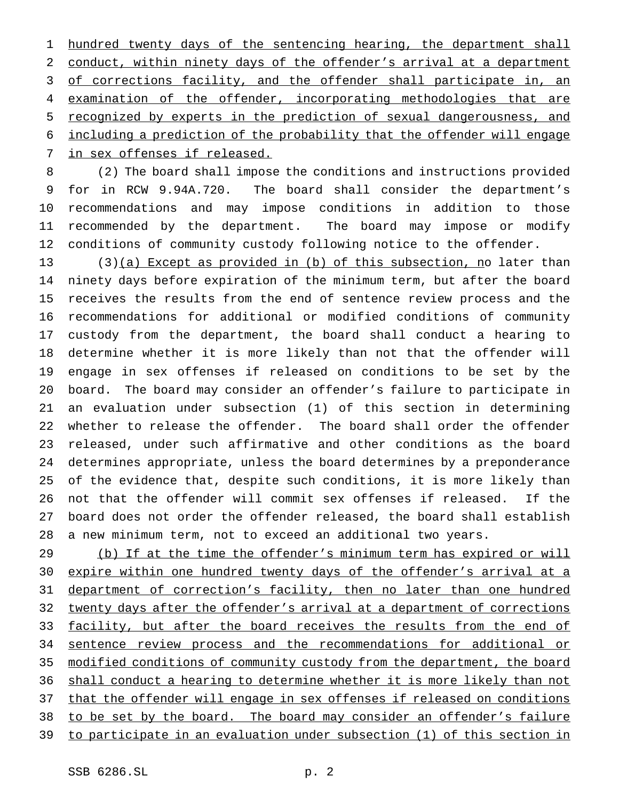1 hundred twenty days of the sentencing hearing, the department shall conduct, within ninety days of the offender's arrival at a department 3 of corrections facility, and the offender shall participate in, an 4 examination of the offender, incorporating methodologies that are recognized by experts in the prediction of sexual dangerousness, and including a prediction of the probability that the offender will engage in sex offenses if released.

 (2) The board shall impose the conditions and instructions provided for in RCW 9.94A.720. The board shall consider the department's recommendations and may impose conditions in addition to those recommended by the department. The board may impose or modify conditions of community custody following notice to the offender.

13 (3)(a) Except as provided in (b) of this subsection, no later than ninety days before expiration of the minimum term, but after the board receives the results from the end of sentence review process and the recommendations for additional or modified conditions of community custody from the department, the board shall conduct a hearing to determine whether it is more likely than not that the offender will engage in sex offenses if released on conditions to be set by the board. The board may consider an offender's failure to participate in an evaluation under subsection (1) of this section in determining whether to release the offender. The board shall order the offender released, under such affirmative and other conditions as the board determines appropriate, unless the board determines by a preponderance of the evidence that, despite such conditions, it is more likely than not that the offender will commit sex offenses if released. If the board does not order the offender released, the board shall establish a new minimum term, not to exceed an additional two years.

29 (b) If at the time the offender's minimum term has expired or will expire within one hundred twenty days of the offender's arrival at a 31 department of correction's facility, then no later than one hundred 32 twenty days after the offender's arrival at a department of corrections 33 facility, but after the board receives the results from the end of sentence review process and the recommendations for additional or modified conditions of community custody from the department, the board 36 shall conduct a hearing to determine whether it is more likely than not 37 that the offender will engage in sex offenses if released on conditions to be set by the board. The board may consider an offender's failure to participate in an evaluation under subsection (1) of this section in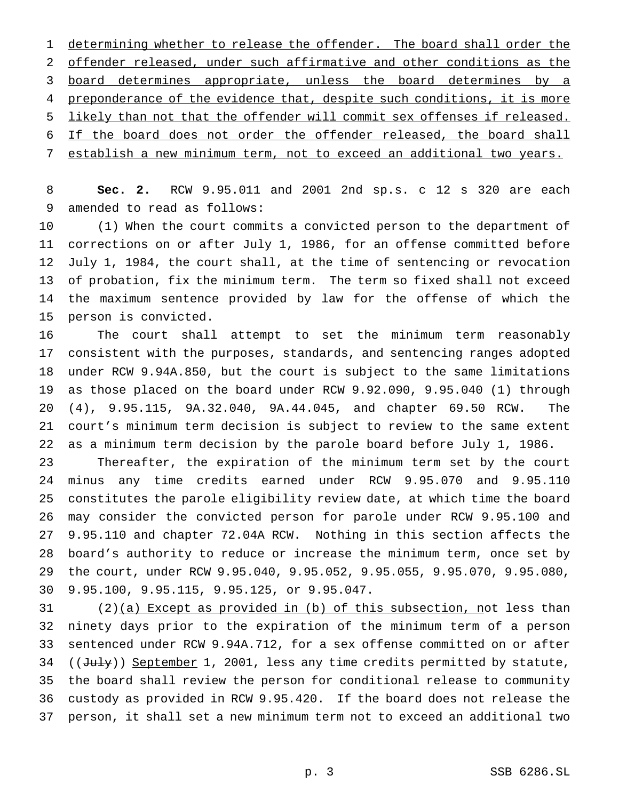1 determining whether to release the offender. The board shall order the offender released, under such affirmative and other conditions as the 3 board determines appropriate, unless the board determines by a 4 preponderance of the evidence that, despite such conditions, it is more likely than not that the offender will commit sex offenses if released. 6 If the board does not order the offender released, the board shall establish a new minimum term, not to exceed an additional two years.

 **Sec. 2.** RCW 9.95.011 and 2001 2nd sp.s. c 12 s 320 are each amended to read as follows:

 (1) When the court commits a convicted person to the department of corrections on or after July 1, 1986, for an offense committed before July 1, 1984, the court shall, at the time of sentencing or revocation of probation, fix the minimum term. The term so fixed shall not exceed the maximum sentence provided by law for the offense of which the person is convicted.

 The court shall attempt to set the minimum term reasonably consistent with the purposes, standards, and sentencing ranges adopted under RCW 9.94A.850, but the court is subject to the same limitations as those placed on the board under RCW 9.92.090, 9.95.040 (1) through (4), 9.95.115, 9A.32.040, 9A.44.045, and chapter 69.50 RCW. The court's minimum term decision is subject to review to the same extent as a minimum term decision by the parole board before July 1, 1986.

 Thereafter, the expiration of the minimum term set by the court minus any time credits earned under RCW 9.95.070 and 9.95.110 constitutes the parole eligibility review date, at which time the board may consider the convicted person for parole under RCW 9.95.100 and 9.95.110 and chapter 72.04A RCW. Nothing in this section affects the board's authority to reduce or increase the minimum term, once set by the court, under RCW 9.95.040, 9.95.052, 9.95.055, 9.95.070, 9.95.080, 9.95.100, 9.95.115, 9.95.125, or 9.95.047.

 (2)(a) Except as provided in (b) of this subsection, not less than ninety days prior to the expiration of the minimum term of a person sentenced under RCW 9.94A.712, for a sex offense committed on or after 34 ((July)) September 1, 2001, less any time credits permitted by statute, the board shall review the person for conditional release to community custody as provided in RCW 9.95.420. If the board does not release the person, it shall set a new minimum term not to exceed an additional two